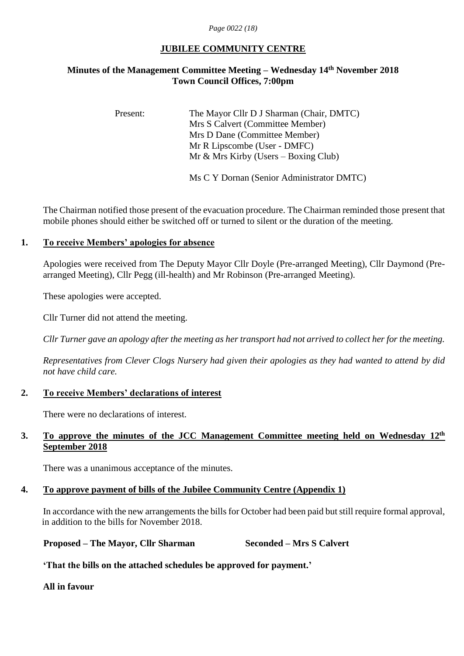#### *Page 0022 (18)*

### **JUBILEE COMMUNITY CENTRE**

### **Minutes of the Management Committee Meeting – Wednesday 14th November 2018 Town Council Offices, 7:00pm**

Present: The Mayor Cllr D J Sharman (Chair, DMTC) Mrs S Calvert (Committee Member) Mrs D Dane (Committee Member) Mr R Lipscombe (User - DMFC) Mr & Mrs Kirby (Users – Boxing Club)

Ms C Y Dornan (Senior Administrator DMTC)

The Chairman notified those present of the evacuation procedure. The Chairman reminded those present that mobile phones should either be switched off or turned to silent or the duration of the meeting.

### **1. To receive Members' apologies for absence**

Apologies were received from The Deputy Mayor Cllr Doyle (Pre-arranged Meeting), Cllr Daymond (Prearranged Meeting), Cllr Pegg (ill-health) and Mr Robinson (Pre-arranged Meeting).

These apologies were accepted.

Cllr Turner did not attend the meeting.

*Cllr Turner gave an apology after the meeting as her transport had not arrived to collect her for the meeting.*

*Representatives from Clever Clogs Nursery had given their apologies as they had wanted to attend by did not have child care.*

### **2. To receive Members' declarations of interest**

There were no declarations of interest.

### 3. To approve the minutes of the JCC Management Committee meeting held on Wednesday 12<sup>th</sup> **September 2018**

There was a unanimous acceptance of the minutes.

# **4. To approve payment of bills of the Jubilee Community Centre (Appendix 1)**

In accordance with the new arrangements the bills for October had been paid but still require formal approval, in addition to the bills for November 2018.

**Proposed – The Mayor, Cllr Sharman Seconded – Mrs S Calvert**

**'That the bills on the attached schedules be approved for payment.'**

**All in favour**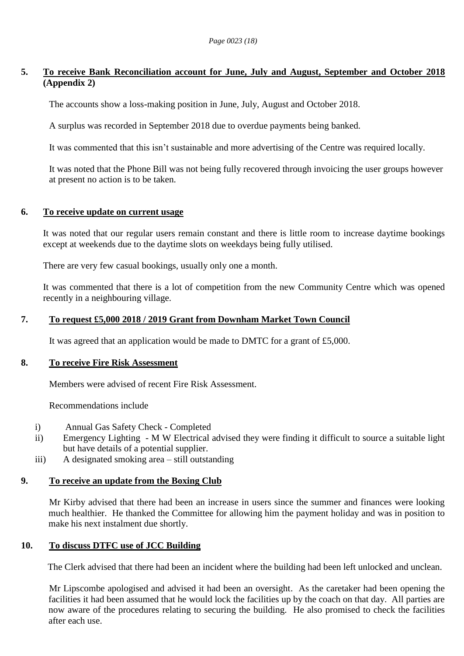## **5. To receive Bank Reconciliation account for June, July and August, September and October 2018 (Appendix 2)**

The accounts show a loss-making position in June, July, August and October 2018.

A surplus was recorded in September 2018 due to overdue payments being banked.

It was commented that this isn't sustainable and more advertising of the Centre was required locally.

It was noted that the Phone Bill was not being fully recovered through invoicing the user groups however at present no action is to be taken.

### **6. To receive update on current usage**

It was noted that our regular users remain constant and there is little room to increase daytime bookings except at weekends due to the daytime slots on weekdays being fully utilised.

There are very few casual bookings, usually only one a month.

It was commented that there is a lot of competition from the new Community Centre which was opened recently in a neighbouring village.

### **7. To request £5,000 2018 / 2019 Grant from Downham Market Town Council**

It was agreed that an application would be made to DMTC for a grant of £5,000.

### **8. To receive Fire Risk Assessment**

Members were advised of recent Fire Risk Assessment.

Recommendations include

- i) Annual Gas Safety Check Completed
- ii) Emergency Lighting M W Electrical advised they were finding it difficult to source a suitable light but have details of a potential supplier.
- iii) A designated smoking area still outstanding

### **9. To receive an update from the Boxing Club**

Mr Kirby advised that there had been an increase in users since the summer and finances were looking much healthier. He thanked the Committee for allowing him the payment holiday and was in position to make his next instalment due shortly.

### **10. To discuss DTFC use of JCC Building**

The Clerk advised that there had been an incident where the building had been left unlocked and unclean.

Mr Lipscombe apologised and advised it had been an oversight. As the caretaker had been opening the facilities it had been assumed that he would lock the facilities up by the coach on that day. All parties are now aware of the procedures relating to securing the building. He also promised to check the facilities after each use.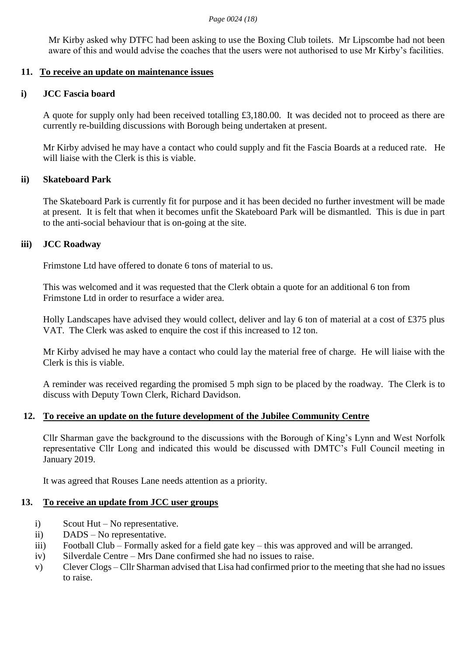Mr Kirby asked why DTFC had been asking to use the Boxing Club toilets. Mr Lipscombe had not been aware of this and would advise the coaches that the users were not authorised to use Mr Kirby's facilities.

### **11. To receive an update on maintenance issues**

### **i) JCC Fascia board**

A quote for supply only had been received totalling £3,180.00. It was decided not to proceed as there are currently re-building discussions with Borough being undertaken at present.

Mr Kirby advised he may have a contact who could supply and fit the Fascia Boards at a reduced rate. He will liaise with the Clerk is this is viable.

### **ii) Skateboard Park**

The Skateboard Park is currently fit for purpose and it has been decided no further investment will be made at present. It is felt that when it becomes unfit the Skateboard Park will be dismantled. This is due in part to the anti-social behaviour that is on-going at the site.

#### **iii) JCC Roadway**

Frimstone Ltd have offered to donate 6 tons of material to us.

This was welcomed and it was requested that the Clerk obtain a quote for an additional 6 ton from Frimstone Ltd in order to resurface a wider area.

Holly Landscapes have advised they would collect, deliver and lay 6 ton of material at a cost of £375 plus VAT. The Clerk was asked to enquire the cost if this increased to 12 ton.

Mr Kirby advised he may have a contact who could lay the material free of charge. He will liaise with the Clerk is this is viable.

A reminder was received regarding the promised 5 mph sign to be placed by the roadway. The Clerk is to discuss with Deputy Town Clerk, Richard Davidson.

### **12. To receive an update on the future development of the Jubilee Community Centre**

Cllr Sharman gave the background to the discussions with the Borough of King's Lynn and West Norfolk representative Cllr Long and indicated this would be discussed with DMTC's Full Council meeting in January 2019.

It was agreed that Rouses Lane needs attention as a priority.

### **13. To receive an update from JCC user groups**

- i) Scout Hut No representative.
- ii) DADS No representative.
- iii) Football Club Formally asked for a field gate key this was approved and will be arranged.
- iv) Silverdale Centre Mrs Dane confirmed she had no issues to raise.
- v) Clever Clogs Cllr Sharman advised that Lisa had confirmed prior to the meeting that she had no issues to raise.